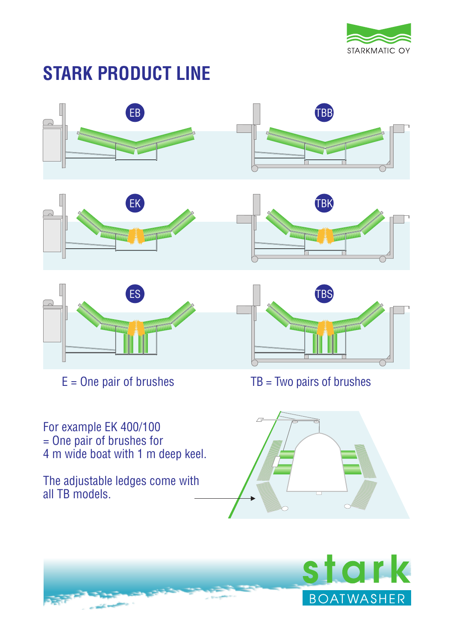

# **STARK PRODUCT LINE**







For example EK 400/100 = One pair of brushes for 4 m wide boat with 1 m deep keel.

The adjustable ledges come with all TB models.



 $E =$  One pair of brushes TB = Two pairs of brushes



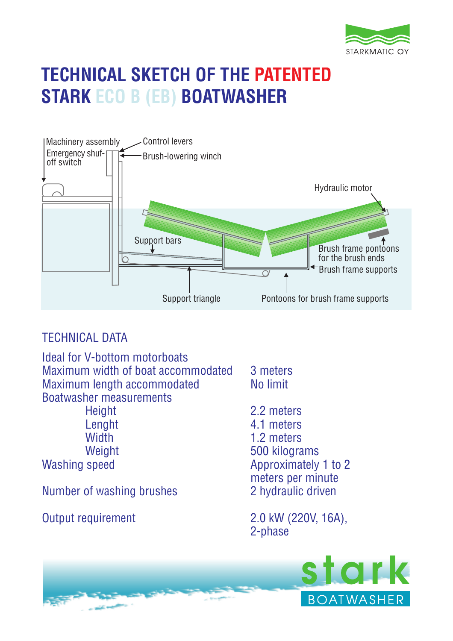

# **TECHNICAL SKETCH OF THE PATENTED STARK ECO B (EB) BOATWASHER**



## TECHNICAL DATA

Ideal for V-bottom motorboats Maximum width of boat accommodated 3 meters Maximum length accommodated No limit Boatwasher measurements Height 2.2 meters

Number of washing brushes

Lenght 4.1 meters<br>Width 1.2 meters 1.2 meters Weight 500 kilograms Approximately 1 to 2 meters per minute<br>2 hydraulic driven

Output requirement 2.0 kW (220V, 16A), 2-phase

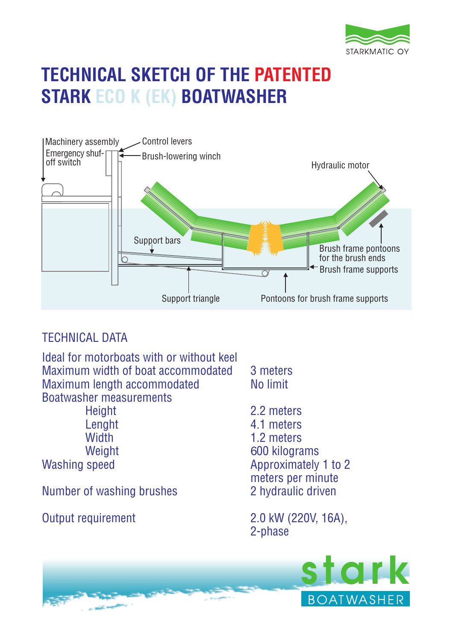

# **TECHNICAL SKETCH OF THE PATENTED STARK ECO K (EK) BOATWASHER**



## TECHNICAL DATA

Ideal for motorboats with or without keel Maximum width of boat accommodated 3 meters Maximum length accommodated No limit Boatwasher measurements

Number of washing brushes

Height 2.2 meters Lenght 4.1 meters<br>Width 1.2 meters 1.2 meters Weight 600 kilograms Approximately 1 to 2 meters per minute<br>2 hydraulic driven

Output requirement 2.0 kW (220V, 16A), 2-phase

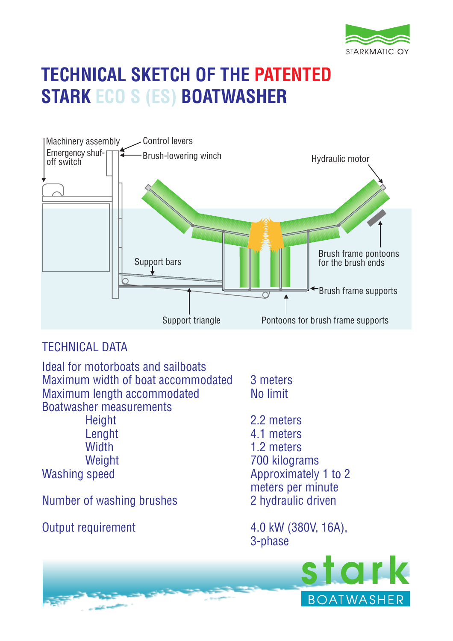

# **TECHNICAL SKETCH OF THE PATENTED STARK ECO S (ES) BOATWASHER**



## TECHNICAL DATA

Ideal for motorboats and sailboats Maximum width of boat accommodated 3 meters Maximum length accommodated No limit Boatwasher measurements

Number of washing brushes 2 hydraulic driven

Height 2.2 meters Lenght 4.1 meters<br>Width 1.2 meters 1.2 meters Weight 700 kilograms Washing speed Mashing speed Approximately 1 to 2 meters per minute

Output requirement 4.0 kW (380V, 16A), 3-phase

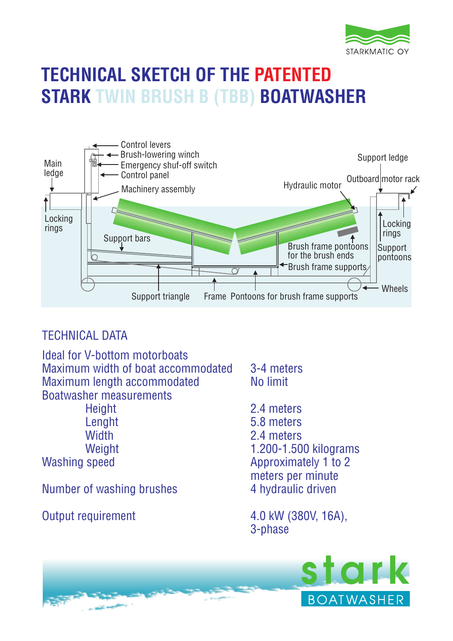

# **TECHNICAL SKETCH OF THE PATENTED STARK TWIN BRUSH B (TBB) BOATWASHER**



## TECHNICAL DATA

Ideal for V-bottom motorboats Maximum width of boat accommodated 3-4 meters Maximum length accommodated No limit Boatwasher measurements Height 2.4 meters Lenght 5.8 meters Width 2.4 meters Weight 1.200-1.500 kilograms

Number of washing brushes

Washing speed Approximately 1 to 2 meters per minute<br>4 hydraulic driven

Output requirement 4.0 kW (380V, 16A), 3-phase

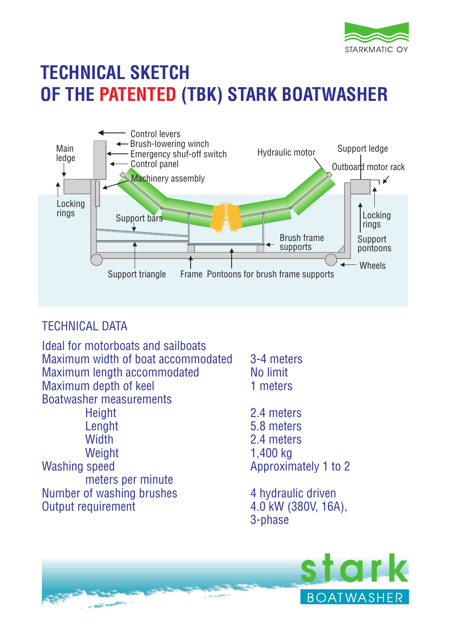

## **TECHNICAL SKETCH OF THE PATENTED (TBK) STARK BOATWASHER**



## TECHNICAL DATA

Ideal for motorboats and sailboats Maximum width of boat accommodated 3-4 meters<br>Maximum length accommodated No limit Maximum length accommodated Maximum depth of keel 1 meters Boatwasher measurements Height 2.4 meters Lenght 5.8 meters Width 2.4 meters Weight 1,400 kg Washing speed Approximately 1 to 2 meters per minute Number of washing brushes 4 hydraulic driven Output requirement 4.0 kW (380V, 16A), 3-phase